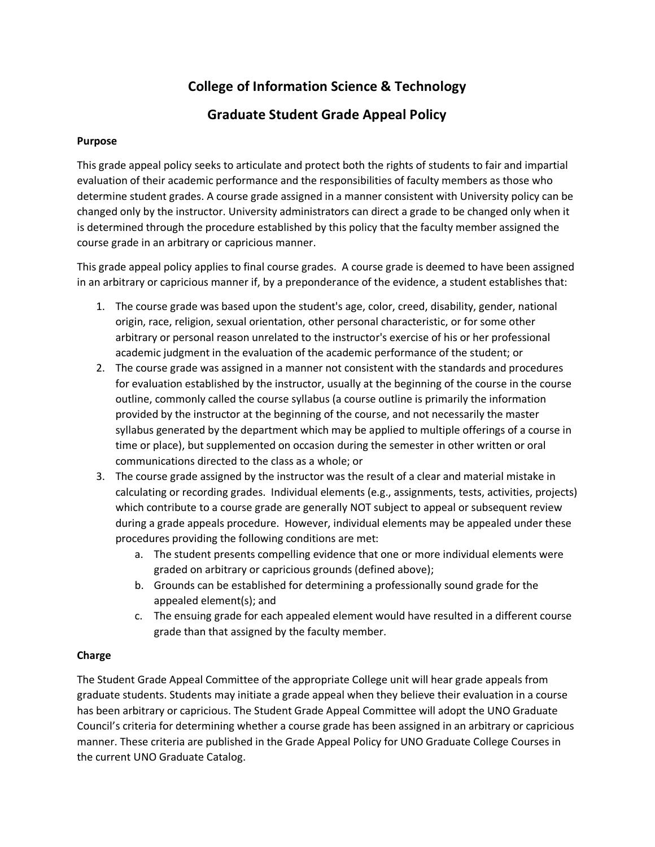# **College of Information Science & Technology**

## **Graduate Student Grade Appeal Policy**

## **Purpose**

This grade appeal policy seeks to articulate and protect both the rights of students to fair and impartial evaluation of their academic performance and the responsibilities of faculty members as those who determine student grades. A course grade assigned in a manner consistent with University policy can be changed only by the instructor. University administrators can direct a grade to be changed only when it is determined through the procedure established by this policy that the faculty member assigned the course grade in an arbitrary or capricious manner.

This grade appeal policy applies to final course grades. A course grade is deemed to have been assigned in an arbitrary or capricious manner if, by a preponderance of the evidence, a student establishes that:

- 1. The course grade was based upon the student's age, color, creed, disability, gender, national origin, race, religion, sexual orientation, other personal characteristic, or for some other arbitrary or personal reason unrelated to the instructor's exercise of his or her professional academic judgment in the evaluation of the academic performance of the student; or
- 2. The course grade was assigned in a manner not consistent with the standards and procedures for evaluation established by the instructor, usually at the beginning of the course in the course outline, commonly called the course syllabus (a course outline is primarily the information provided by the instructor at the beginning of the course, and not necessarily the master syllabus generated by the department which may be applied to multiple offerings of a course in time or place), but supplemented on occasion during the semester in other written or oral communications directed to the class as a whole; or
- 3. The course grade assigned by the instructor was the result of a clear and material mistake in calculating or recording grades. Individual elements (e.g., assignments, tests, activities, projects) which contribute to a course grade are generally NOT subject to appeal or subsequent review during a grade appeals procedure. However, individual elements may be appealed under these procedures providing the following conditions are met:
	- a. The student presents compelling evidence that one or more individual elements were graded on arbitrary or capricious grounds (defined above);
	- b. Grounds can be established for determining a professionally sound grade for the appealed element(s); and
	- c. The ensuing grade for each appealed element would have resulted in a different course grade than that assigned by the faculty member.

## **Charge**

The Student Grade Appeal Committee of the appropriate College unit will hear grade appeals from graduate students. Students may initiate a grade appeal when they believe their evaluation in a course has been arbitrary or capricious. The Student Grade Appeal Committee will adopt the UNO Graduate Council's criteria for determining whether a course grade has been assigned in an arbitrary or capricious manner. These criteria are published in the Grade Appeal Policy for UNO Graduate College Courses in the current UNO Graduate Catalog.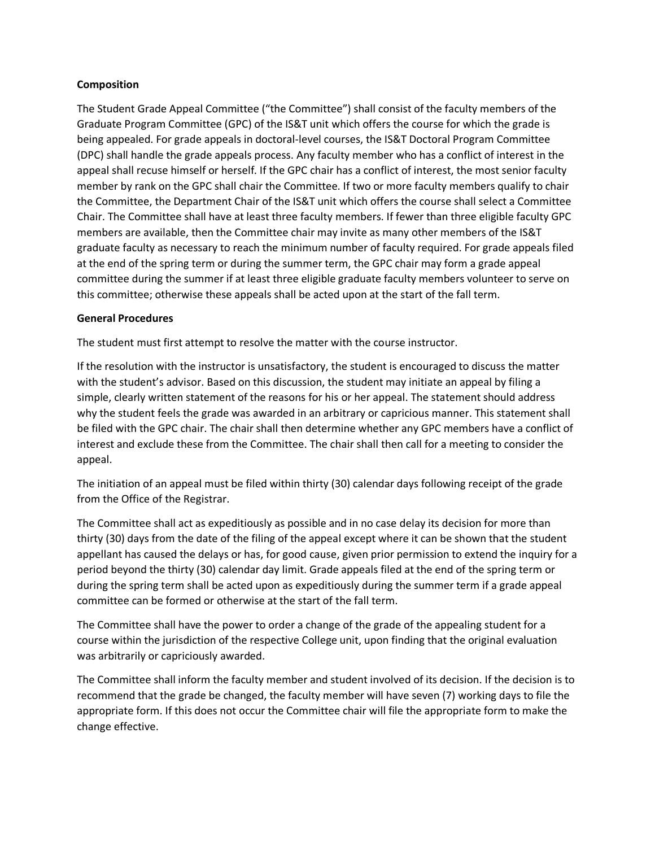#### **Composition**

The Student Grade Appeal Committee ("the Committee") shall consist of the faculty members of the Graduate Program Committee (GPC) of the IS&T unit which offers the course for which the grade is being appealed. For grade appeals in doctoral-level courses, the IS&T Doctoral Program Committee (DPC) shall handle the grade appeals process. Any faculty member who has a conflict of interest in the appeal shall recuse himself or herself. If the GPC chair has a conflict of interest, the most senior faculty member by rank on the GPC shall chair the Committee. If two or more faculty members qualify to chair the Committee, the Department Chair of the IS&T unit which offers the course shall select a Committee Chair. The Committee shall have at least three faculty members. If fewer than three eligible faculty GPC members are available, then the Committee chair may invite as many other members of the IS&T graduate faculty as necessary to reach the minimum number of faculty required. For grade appeals filed at the end of the spring term or during the summer term, the GPC chair may form a grade appeal committee during the summer if at least three eligible graduate faculty members volunteer to serve on this committee; otherwise these appeals shall be acted upon at the start of the fall term.

#### **General Procedures**

The student must first attempt to resolve the matter with the course instructor.

If the resolution with the instructor is unsatisfactory, the student is encouraged to discuss the matter with the student's advisor. Based on this discussion, the student may initiate an appeal by filing a simple, clearly written statement of the reasons for his or her appeal. The statement should address why the student feels the grade was awarded in an arbitrary or capricious manner. This statement shall be filed with the GPC chair. The chair shall then determine whether any GPC members have a conflict of interest and exclude these from the Committee. The chair shall then call for a meeting to consider the appeal.

The initiation of an appeal must be filed within thirty (30) calendar days following receipt of the grade from the Office of the Registrar.

The Committee shall act as expeditiously as possible and in no case delay its decision for more than thirty (30) days from the date of the filing of the appeal except where it can be shown that the student appellant has caused the delays or has, for good cause, given prior permission to extend the inquiry for a period beyond the thirty (30) calendar day limit. Grade appeals filed at the end of the spring term or during the spring term shall be acted upon as expeditiously during the summer term if a grade appeal committee can be formed or otherwise at the start of the fall term.

The Committee shall have the power to order a change of the grade of the appealing student for a course within the jurisdiction of the respective College unit, upon finding that the original evaluation was arbitrarily or capriciously awarded.

The Committee shall inform the faculty member and student involved of its decision. If the decision is to recommend that the grade be changed, the faculty member will have seven (7) working days to file the appropriate form. If this does not occur the Committee chair will file the appropriate form to make the change effective.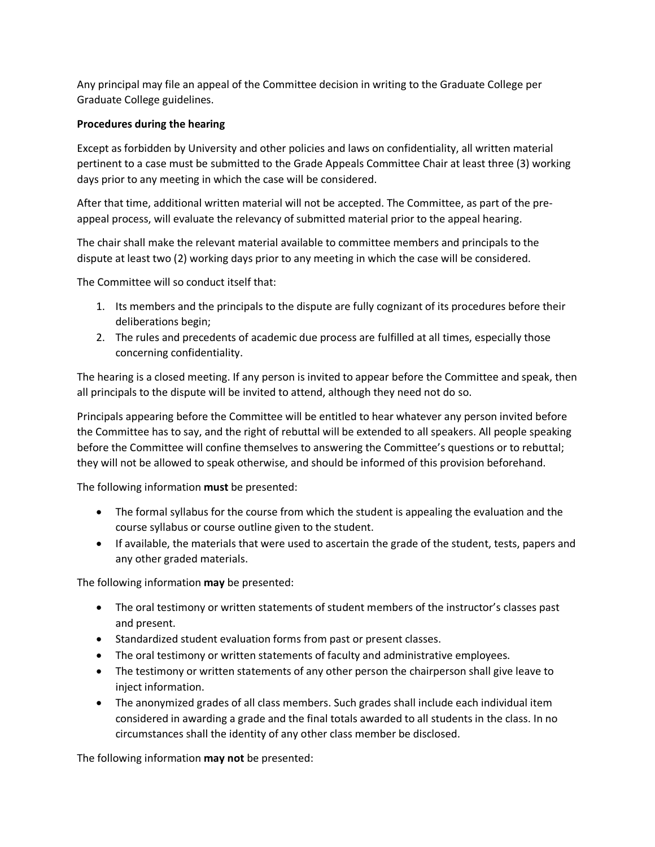Any principal may file an appeal of the Committee decision in writing to the Graduate College per Graduate College guidelines.

### **Procedures during the hearing**

Except as forbidden by University and other policies and laws on confidentiality, all written material pertinent to a case must be submitted to the Grade Appeals Committee Chair at least three (3) working days prior to any meeting in which the case will be considered.

After that time, additional written material will not be accepted. The Committee, as part of the preappeal process, will evaluate the relevancy of submitted material prior to the appeal hearing.

The chair shall make the relevant material available to committee members and principals to the dispute at least two (2) working days prior to any meeting in which the case will be considered.

The Committee will so conduct itself that:

- 1. Its members and the principals to the dispute are fully cognizant of its procedures before their deliberations begin;
- 2. The rules and precedents of academic due process are fulfilled at all times, especially those concerning confidentiality.

The hearing is a closed meeting. If any person is invited to appear before the Committee and speak, then all principals to the dispute will be invited to attend, although they need not do so.

Principals appearing before the Committee will be entitled to hear whatever any person invited before the Committee has to say, and the right of rebuttal will be extended to all speakers. All people speaking before the Committee will confine themselves to answering the Committee's questions or to rebuttal; they will not be allowed to speak otherwise, and should be informed of this provision beforehand.

The following information **must** be presented:

- The formal syllabus for the course from which the student is appealing the evaluation and the course syllabus or course outline given to the student.
- If available, the materials that were used to ascertain the grade of the student, tests, papers and any other graded materials.

The following information **may** be presented:

- The oral testimony or written statements of student members of the instructor's classes past and present.
- Standardized student evaluation forms from past or present classes.
- The oral testimony or written statements of faculty and administrative employees.
- The testimony or written statements of any other person the chairperson shall give leave to inject information.
- The anonymized grades of all class members. Such grades shall include each individual item considered in awarding a grade and the final totals awarded to all students in the class. In no circumstances shall the identity of any other class member be disclosed.

The following information **may not** be presented: